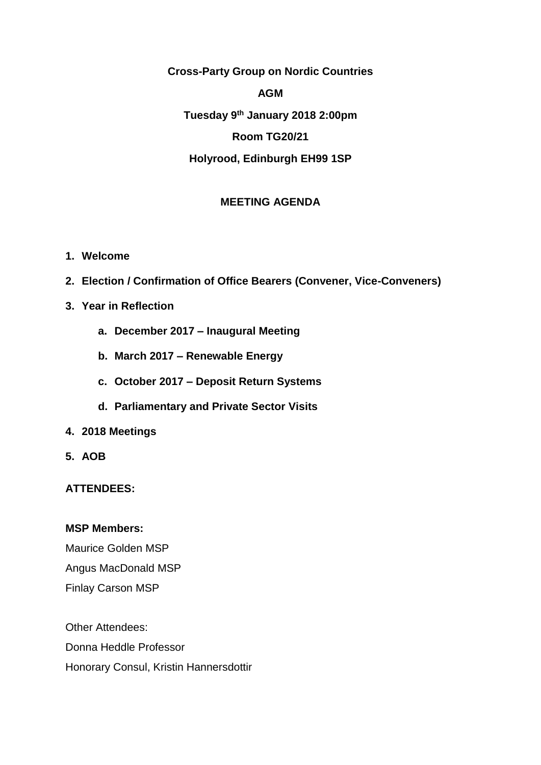**Cross-Party Group on Nordic Countries**

#### **AGM**

**Tuesday 9th January 2018 2:00pm Room TG20/21 Holyrood, Edinburgh EH99 1SP**

## **MEETING AGENDA**

- **1. Welcome**
- **2. Election / Confirmation of Office Bearers (Convener, Vice-Conveners)**
- **3. Year in Reflection**
	- **a. December 2017 – Inaugural Meeting**
	- **b. March 2017 – Renewable Energy**
	- **c. October 2017 – Deposit Return Systems**
	- **d. Parliamentary and Private Sector Visits**
- **4. 2018 Meetings**
- **5. AOB**

### **ATTENDEES:**

#### **MSP Members:**

Maurice Golden MSP Angus MacDonald MSP Finlay Carson MSP

Other Attendees: Donna Heddle Professor Honorary Consul, Kristin Hannersdottir